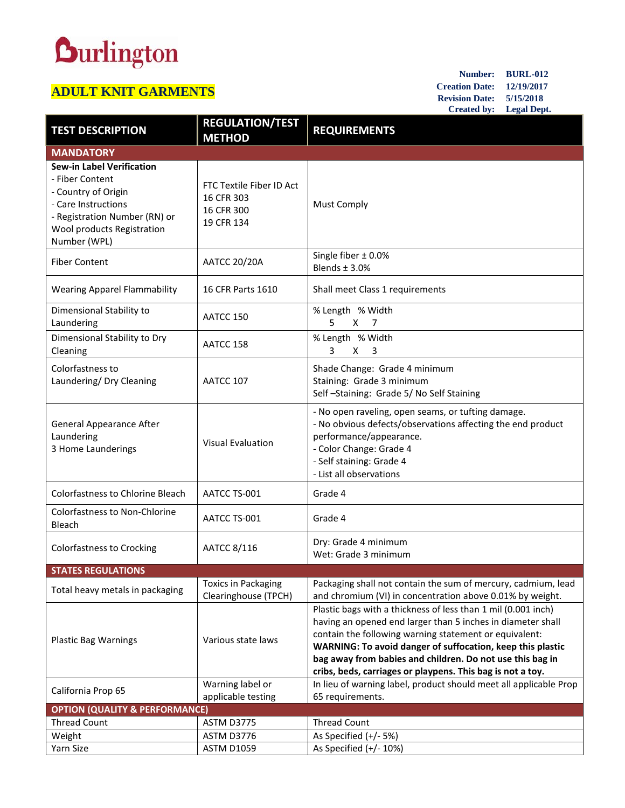## **Durlington**

## **ADULT KNIT GARMENTS**

**Number: BURL-012 Creation Date: 12/19/2017 Revision Date: 5/15/2018 Created by: Legal Dept.**

| <b>TEST DESCRIPTION</b>                                                                                                                                                          | <b>REGULATION/TEST</b><br><b>METHOD</b>                            | <b>REQUIREMENTS</b>                                                                                                                                                                                                                                                                                                                                                             |  |
|----------------------------------------------------------------------------------------------------------------------------------------------------------------------------------|--------------------------------------------------------------------|---------------------------------------------------------------------------------------------------------------------------------------------------------------------------------------------------------------------------------------------------------------------------------------------------------------------------------------------------------------------------------|--|
| <b>MANDATORY</b>                                                                                                                                                                 |                                                                    |                                                                                                                                                                                                                                                                                                                                                                                 |  |
| <b>Sew-in Label Verification</b><br>- Fiber Content<br>- Country of Origin<br>- Care Instructions<br>- Registration Number (RN) or<br>Wool products Registration<br>Number (WPL) | FTC Textile Fiber ID Act<br>16 CFR 303<br>16 CFR 300<br>19 CFR 134 | <b>Must Comply</b>                                                                                                                                                                                                                                                                                                                                                              |  |
| <b>Fiber Content</b>                                                                                                                                                             | <b>AATCC 20/20A</b>                                                | Single fiber $\pm$ 0.0%<br>Blends $\pm$ 3.0%                                                                                                                                                                                                                                                                                                                                    |  |
| <b>Wearing Apparel Flammability</b>                                                                                                                                              | 16 CFR Parts 1610                                                  | Shall meet Class 1 requirements                                                                                                                                                                                                                                                                                                                                                 |  |
| Dimensional Stability to<br>Laundering                                                                                                                                           | AATCC 150                                                          | % Length % Width<br>5<br>X<br>7                                                                                                                                                                                                                                                                                                                                                 |  |
| Dimensional Stability to Dry<br>Cleaning                                                                                                                                         | AATCC 158                                                          | % Length % Width<br>3<br>X<br>3                                                                                                                                                                                                                                                                                                                                                 |  |
| Colorfastness to<br>Laundering/ Dry Cleaning                                                                                                                                     | AATCC 107                                                          | Shade Change: Grade 4 minimum<br>Staining: Grade 3 minimum<br>Self-Staining: Grade 5/No Self Staining                                                                                                                                                                                                                                                                           |  |
| <b>General Appearance After</b><br>Laundering<br>3 Home Launderings                                                                                                              | <b>Visual Evaluation</b>                                           | - No open raveling, open seams, or tufting damage.<br>- No obvious defects/observations affecting the end product<br>performance/appearance.<br>- Color Change: Grade 4<br>- Self staining: Grade 4<br>- List all observations                                                                                                                                                  |  |
| <b>Colorfastness to Chlorine Bleach</b>                                                                                                                                          | AATCC TS-001                                                       | Grade 4                                                                                                                                                                                                                                                                                                                                                                         |  |
| <b>Colorfastness to Non-Chlorine</b><br>Bleach                                                                                                                                   | AATCC TS-001                                                       | Grade 4                                                                                                                                                                                                                                                                                                                                                                         |  |
| <b>Colorfastness to Crocking</b>                                                                                                                                                 | AATCC 8/116                                                        | Dry: Grade 4 minimum<br>Wet: Grade 3 minimum                                                                                                                                                                                                                                                                                                                                    |  |
| <b>STATES REGULATIONS</b>                                                                                                                                                        |                                                                    |                                                                                                                                                                                                                                                                                                                                                                                 |  |
| Total heavy metals in packaging                                                                                                                                                  | <b>Toxics in Packaging</b><br>Clearinghouse (TPCH)                 | Packaging shall not contain the sum of mercury, cadmium, lead<br>and chromium (VI) in concentration above 0.01% by weight.                                                                                                                                                                                                                                                      |  |
| <b>Plastic Bag Warnings</b>                                                                                                                                                      | Various state laws                                                 | Plastic bags with a thickness of less than 1 mil (0.001 inch)<br>having an opened end larger than 5 inches in diameter shall<br>contain the following warning statement or equivalent:<br>WARNING: To avoid danger of suffocation, keep this plastic<br>bag away from babies and children. Do not use this bag in<br>cribs, beds, carriages or playpens. This bag is not a toy. |  |
| California Prop 65                                                                                                                                                               | Warning label or<br>applicable testing                             | In lieu of warning label, product should meet all applicable Prop<br>65 requirements.                                                                                                                                                                                                                                                                                           |  |
| <b>OPTION (QUALITY &amp; PERFORMANCE)</b>                                                                                                                                        |                                                                    |                                                                                                                                                                                                                                                                                                                                                                                 |  |
| <b>Thread Count</b>                                                                                                                                                              | ASTM D3775                                                         | <b>Thread Count</b>                                                                                                                                                                                                                                                                                                                                                             |  |
| Weight                                                                                                                                                                           | ASTM D3776                                                         | As Specified (+/- 5%)                                                                                                                                                                                                                                                                                                                                                           |  |
| Yarn Size                                                                                                                                                                        | <b>ASTM D1059</b>                                                  | As Specified $(+/- 10%)$                                                                                                                                                                                                                                                                                                                                                        |  |